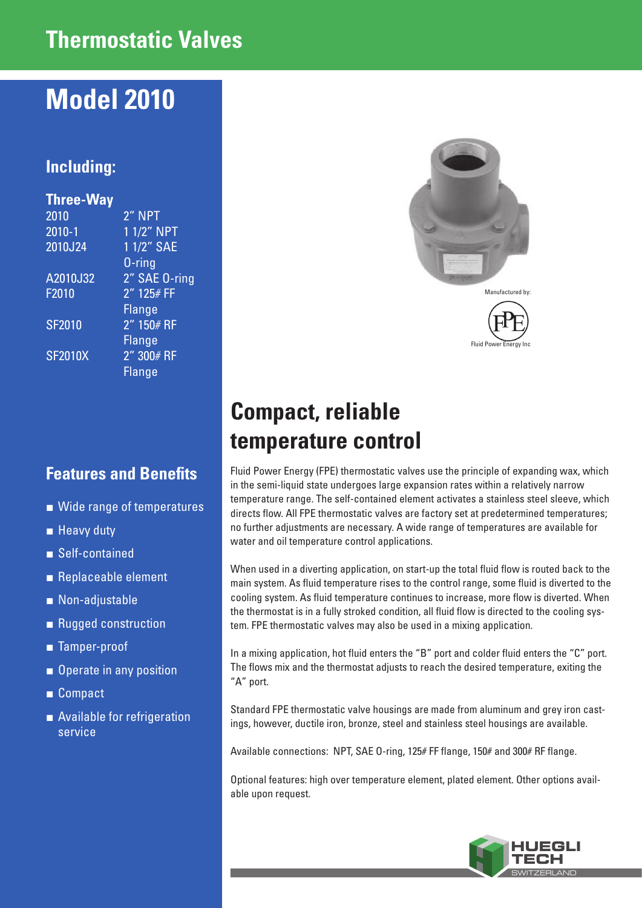## **Thermostatic Valves**

# **Model 2010**

### **Including:**

| <b>Three-Way</b> |               |
|------------------|---------------|
| 2010             | 2" NPT        |
| $2010 - 1$       | 1 1/2" NPT    |
| 2010J24          | 1 1/2" SAE    |
|                  | $0$ -ring     |
| A2010J32         | 2" SAE 0-ring |
| F2010            | $2''$ 125# FF |
|                  | <b>Flange</b> |
| <b>SF2010</b>    | $2''$ 150# RF |
|                  | Flange        |
| <b>SF2010X</b>   | 2" 300# RF    |
|                  | Flange        |
|                  |               |

#### **Features and Benefits**

- Wide range of temperatures
- Heavy duty
- Self-contained
- Replaceable element
- Non-adjustable
- Rugged construction
- Tamper-proof
- Operate in any position
- Compact
- Available for refrigeration service





# **Compact, reliable temperature control**

Fluid Power Energy (FPE) thermostatic valves use the principle of expanding wax, which in the semi-liquid state undergoes large expansion rates within a relatively narrow temperature range. The self-contained element activates a stainless steel sleeve, which directs flow. All FPE thermostatic valves are factory set at predetermined temperatures; no further adjustments are necessary. A wide range of temperatures are available for water and oil temperature control applications.

When used in a diverting application, on start-up the total fluid flow is routed back to the main system. As fluid temperature rises to the control range, some fluid is diverted to the cooling system. As fluid temperature continues to increase, more flow is diverted. When the thermostat is in a fully stroked condition, all fluid flow is directed to the cooling system. FPE thermostatic valves may also be used in a mixing application.

In a mixing application, hot fluid enters the "B" port and colder fluid enters the "C" port. The flows mix and the thermostat adjusts to reach the desired temperature, exiting the "A" port.

Standard FPE thermostatic valve housings are made from aluminum and grey iron castings, however, ductile iron, bronze, steel and stainless steel housings are available.

Available connections: NPT, SAE O-ring, 125# FF flange, 150# and 300# RF flange.

Optional features: high over temperature element, plated element. Other options available upon request.

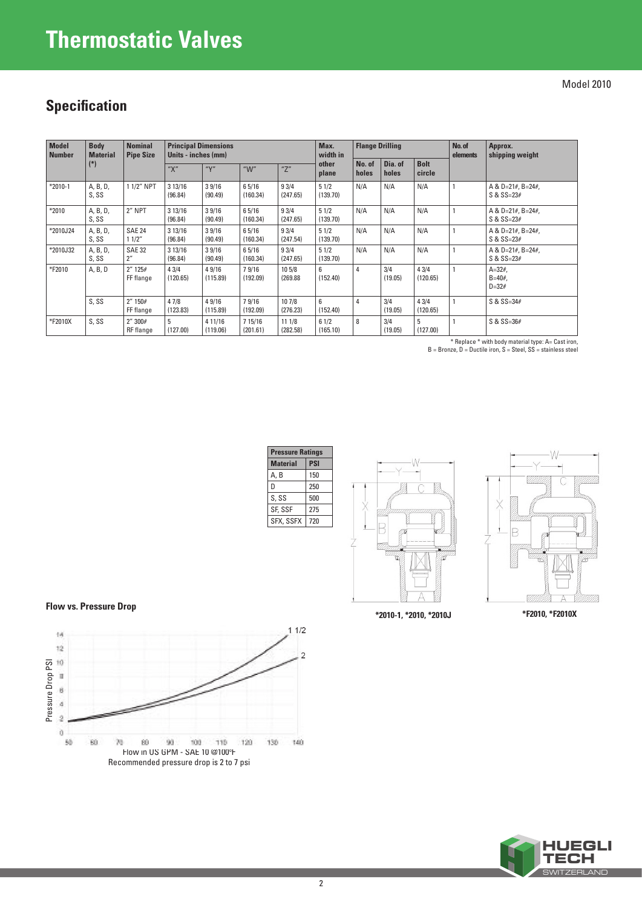# **Thermostatic Valves**

Model 2010

## **Specification**

| <b>Model</b><br><b>Number</b> | <b>Body</b><br><b>Material</b><br>$(*)$ | <b>Nominal</b><br><b>Pipe Size</b> | <b>Principal Dimensions</b><br>Units - inches (mm) |                     |                     |                    | Max.<br>width in | <b>Flange Drilling</b> |                  |                       | No. of<br>elements | Approx.<br>shipping weight          |
|-------------------------------|-----------------------------------------|------------------------------------|----------------------------------------------------|---------------------|---------------------|--------------------|------------------|------------------------|------------------|-----------------------|--------------------|-------------------------------------|
|                               |                                         |                                    | "Х"                                                | "Y"                 | " $W$ "             | "Z"                | other<br>plane   | No. of<br>holes        | Dia. of<br>holes | <b>Bolt</b><br>circle |                    |                                     |
| $*2010-1$                     | A, B, D,<br>S, SS                       | 1 1/2" NPT                         | 3 13/16<br>(96.84)                                 | 39/16<br>(90.49)    | 6 5/16<br>(160.34)  | 93/4<br>(247.65)   | 51/2<br>(139.70) | N/A                    | N/A              | N/A                   |                    | A & D=21#, B=24#,<br>$S & S = 23#$  |
| $*2010$                       | A, B, D,<br>S, SS                       | 2" NPT                             | 313/16<br>(96.84)                                  | 39/16<br>(90.49)    | 65/16<br>(160.34)   | 93/4<br>(247.65)   | 51/2<br>(139.70) | N/A                    | N/A              | N/A                   |                    | A & D=21#, B=24#,<br>$S & S = 23#$  |
| *2010J24                      | A, B, D,<br>S, SS                       | <b>SAE 24</b><br>11/2"             | 313/16<br>(96.84)                                  | 39/16<br>(90.49)    | 65/16<br>(160.34)   | 93/4<br>(247.54)   | 51/2<br>(139.70) | N/A                    | N/A              | N/A                   |                    | A & D=21#, B=24#,<br>$S & S = 23#$  |
| *2010J32                      | A, B, D,<br>S, SS                       | <b>SAE 32</b><br>2 <sup>''</sup>   | 313/16<br>(96.84)                                  | 39/16<br>(90.49)    | 65/16<br>(160.34)   | 93/4<br>(247.65)   | 51/2<br>(139.70) | N/A                    | N/A              | N/A                   |                    | A & D=21#, B=24#,<br>$S & S = 23#$  |
| *F2010                        | A, B, D                                 | 2'' 125#<br>FF flange              | 43/4<br>(120.65)                                   | 4 9/16<br>(115.89)  | 79/16<br>(192.09)   | 10 5/8<br>(269.88) | 6<br>(152.40)    | 4                      | 3/4<br>(19.05)   | 43/4<br>(120.65)      |                    | $A = 32#$<br>$B = 40#$<br>$D = 32#$ |
|                               | $S.$ SS                                 | 2'' 150#<br>FF flange              | 47/8<br>(123.83)                                   | 4 9/16<br>(115.89)  | 79/16<br>(192.09)   | 10 7/8<br>(276.23) | 6<br>(152.40)    | 4                      | 3/4<br>(19.05)   | 43/4<br>(120.65)      |                    | $S & S = 34#$                       |
| *F2010X                       | S, SS                                   | 2''300#<br>RF flange               | 5<br>(127.00)                                      | 4 11/16<br>(119.06) | 7 15/16<br>(201.61) | 11 1/8<br>(282.58) | 61/2<br>(165.10) | 8                      | 3/4<br>(19.05)   | 5<br>(127.00)         |                    | $S & S = 36#$                       |

\* Replace \* with body material type: A= Cast iron, B = Bronze, D = Ductile iron, S = Steel, SS = stainless steel







**Flow vs. Pressure Drop**